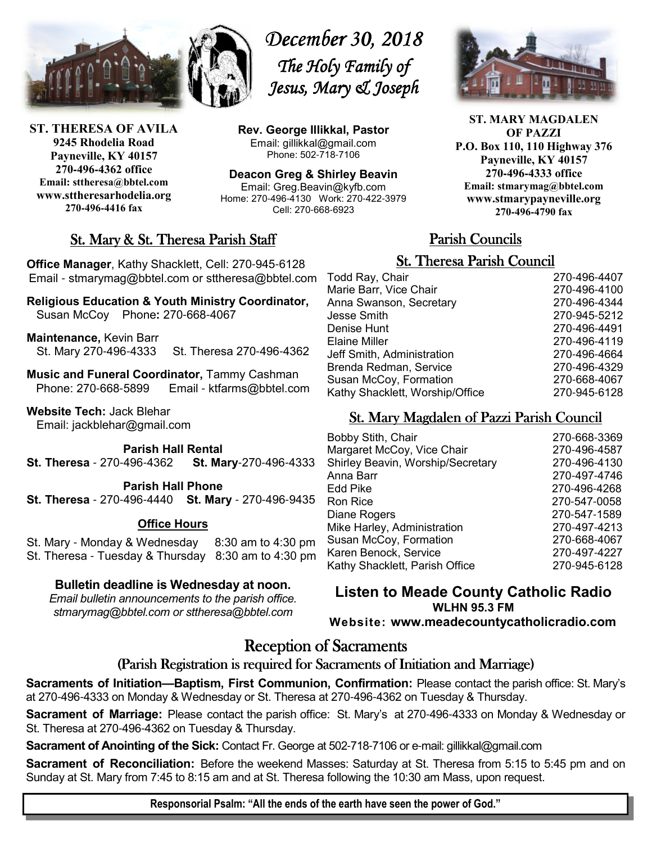

**ST. THERESA OF AVILA 9245 Rhodelia Road Payneville, KY 40157 270-496-4362 office Email: sttheresa@bbtel.com www.sttheresarhodelia.org 270-496-4416 fax**

*December 30, 2018 December 30, 2018 The Holy Family of Jesus, Mary & Joseph*

**Rev. George Illikkal, Pastor** Email: gillikkal@gmail.com Phone: 502-718-7106

**Deacon Greg & Shirley Beavin** Email: Greg.Beavin@kyfb.com Home: 270-496-4130 Work: 270-422-3979 Cell: 270-668-6923



**ST. MARY MAGDALEN OF PAZZI P.O. Box 110, 110 Highway 376 Payneville, KY 40157 270-496-4333 office Email: stmarymag@bbtel.com www.stmarypayneville.org 270-496-4790 fax**

## St. Mary & St. Theresa Parish Staff

**Office Manager**, Kathy Shacklett, Cell: 270-945-6128 Email - stmarymag@bbtel.com or sttheresa@bbtel.com

**Religious Education & Youth Ministry Coordinator,** Susan McCoy Phone**:** 270-668-4067

**Maintenance,** Kevin Barr St. Mary 270-496-4333 St. Theresa 270-496-4362

**Music and Funeral Coordinator,** Tammy Cashman Phone: 270-668-5899 Email - ktfarms@bbtel.com

**Website Tech:** Jack Blehar Email: jackblehar@gmail.com

**Parish Hall Rental** 

**St. Theresa** - 270-496-4362 **St. Mary**-270-496-4333

**Parish Hall Phone St. Theresa** - 270-496-4440 **St. Mary** - 270-496-9435

#### **Office Hours**

St. Mary - Monday & Wednesday 8:30 am to 4:30 pm St. Theresa - Tuesday & Thursday 8:30 am to 4:30 pm

### **Bulletin deadline is Wednesday at noon.**

*Email bulletin announcements to the parish office. stmarymag@bbtel.com or sttheresa@bbtel.com*

# Parish Councils Parish Councils

## **St. Theresa Parish Council**

| Todd Ray, Chair                 | 270-496-4407 |
|---------------------------------|--------------|
| Marie Barr, Vice Chair          | 270-496-4100 |
| Anna Swanson, Secretary         | 270-496-4344 |
| Jesse Smith                     | 270-945-5212 |
| Denise Hunt                     | 270-496-4491 |
| Elaine Miller                   | 270-496-4119 |
| Jeff Smith, Administration      | 270-496-4664 |
| Brenda Redman, Service          | 270-496-4329 |
| Susan McCoy, Formation          | 270-668-4067 |
| Kathy Shacklett, Worship/Office | 270-945-6128 |
|                                 |              |

## St. Mary Magdalen of Pazzi Parish Council

| <b>Bobby Stith, Chair</b>         | 270-668-3369 |
|-----------------------------------|--------------|
| Margaret McCoy, Vice Chair        | 270-496-4587 |
| Shirley Beavin, Worship/Secretary | 270-496-4130 |
| Anna Barr                         | 270-497-4746 |
| Edd Pike                          | 270-496-4268 |
| Ron Rice                          | 270-547-0058 |
| Diane Rogers                      | 270-547-1589 |
| Mike Harley, Administration       | 270-497-4213 |
| Susan McCoy, Formation            | 270-668-4067 |
| Karen Benock, Service             | 270-497-4227 |
| Kathy Shacklett, Parish Office    | 270-945-6128 |
|                                   |              |

**Listen to Meade County Catholic Radio WLHN 95.3 FM Website: www.meadecountycatholicradio.com**

# **Reception of Sacraments**

## (Parish Registration is required for Sacraments of Initiation and Marriage)

**Sacraments of Initiation—Baptism, First Communion, Confirmation:** Please contact the parish office: St. Mary's at 270-496-4333 on Monday & Wednesday or St. Theresa at 270-496-4362 on Tuesday & Thursday.

**Sacrament of Marriage:** Please contact the parish office: St. Mary's at 270-496-4333 on Monday & Wednesday or St. Theresa at 270-496-4362 on Tuesday & Thursday.

**Sacrament of Anointing of the Sick:** Contact Fr. George at 502-718-7106 or e-mail: gillikkal@gmail.com

**Sacrament of Reconciliation:** Before the weekend Masses: Saturday at St. Theresa from 5:15 to 5:45 pm and on Sunday at St. Mary from 7:45 to 8:15 am and at St. Theresa following the 10:30 am Mass, upon request.

**Responsorial Psalm: "All the ends of the earth have seen the power of God."**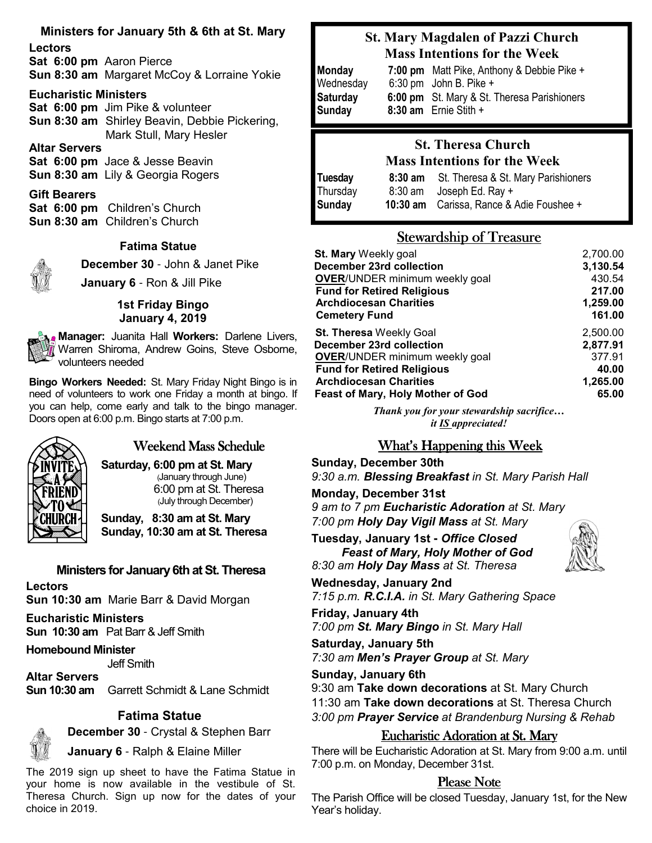## **Ministers for January 5th & 6th at St. Mary**

**Lectors Sat 6:00 pm** Aaron Pierce **Sun 8:30 am** Margaret McCoy & Lorraine Yokie

#### **Eucharistic Ministers**

**Sat 6:00 pm** Jim Pike & volunteer **Sun 8:30 am** Shirley Beavin, Debbie Pickering, Mark Stull, Mary Hesler

### **Altar Servers**

**Sat 6:00 pm** Jace & Jesse Beavin **Sun 8:30 am** Lily & Georgia Rogers

### **Gift Bearers**

**Sat 6:00 pm** Children's Church **Sun 8:30 am** Children's Church

#### **Fatima Statue**



**December 30** - John & Janet Pike

**January 6** - Ron & Jill Pike

#### **1st Friday Bingo January 4, 2019**

**Manager:** Juanita Hall **Workers:** Darlene Livers, Warren Shiroma, Andrew Goins, Steve Osborne, volunteers needed

**Bingo Workers Needed:** St. Mary Friday Night Bingo is in need of volunteers to work one Friday a month at bingo. If you can help, come early and talk to the bingo manager. Doors open at 6:00 p.m. Bingo starts at 7:00 p.m.



## Weekend Mass Schedule

**Saturday, 6:00 pm at St. Mary** (January through June) 6:00 pm at St. Theresa (July through December)

**Sunday, 8:30 am at St. Mary Sunday, 10:30 am at St. Theresa**

## **Ministers for January 6th at St. Theresa**

#### **Lectors Sun 10:30 am** Marie Barr & David Morgan

**Eucharistic Ministers Sun 10:30 am** Pat Barr & Jeff Smith

### **Homebound Minister**

Jeff Smith

**Altar Servers Sun 10:30 am** Garrett Schmidt & Lane Schmidt

### **Fatima Statue**



**December 30** - Crystal & Stephen Barr

**January 6** - Ralph & Elaine Miller

The 2019 sign up sheet to have the Fatima Statue in your home is now available in the vestibule of St. Theresa Church. Sign up now for the dates of your choice in 2019.

## **St. Mary Magdalen of Pazzi Church Mass Intentions for the Week**

| Monday          | 7:00 pm Matt Pike, Anthony & Debbie Pike +  |
|-----------------|---------------------------------------------|
| Wednesday       | $6:30$ pm John B. Pike +                    |
| <b>Saturday</b> | 6:00 pm St. Mary & St. Theresa Parishioners |
| Sunday          | $8:30$ am Ernie Stith +                     |

## **St. Theresa Church Mass Intentions for the Week**

| <b>Tuesday</b> | $8:30$ am | St. Theresa & St. Mary Parishioners      |
|----------------|-----------|------------------------------------------|
| Thursday       |           | $8:30$ am Joseph Ed. Ray +               |
| Sunday         |           | 10:30 am Carissa, Rance & Adie Foushee + |

## Stewardship of Treasure

| St. Mary Weekly goal                  | 2,700.00 |
|---------------------------------------|----------|
| December 23rd collection              | 3,130.54 |
| <b>OVER/UNDER minimum weekly goal</b> | 430.54   |
| <b>Fund for Retired Religious</b>     | 217.00   |
| <b>Archdiocesan Charities</b>         | 1,259.00 |
| <b>Cemetery Fund</b>                  | 161.00   |
| <b>St. Theresa Weekly Goal</b>        | 2,500.00 |
| December 23rd collection              | 2,877.91 |
| <b>OVER/UNDER minimum weekly goal</b> | 377.91   |
| <b>Fund for Retired Religious</b>     | 40.00    |
| <b>Archdiocesan Charities</b>         | 1,265.00 |
| Feast of Mary, Holy Mother of God     | 65.00    |

*Thank you for your stewardship sacrifice… it IS appreciated!*

## What's Happening this Week

#### **Sunday, December 30th**

*9:30 a.m. Blessing Breakfast in St. Mary Parish Hall* 

**Monday, December 31st** 

*9 am to 7 pm Eucharistic Adoration at St. Mary 7:00 pm Holy Day Vigil Mass at St. Mary*

**Tuesday, January 1st -** *Office Closed Feast of Mary, Holy Mother of God*

*8:30 am Holy Day Mass at St. Theresa*

**Wednesday, January 2nd** *7:15 p.m. R.C.I.A. in St. Mary Gathering Space*

**Friday, January 4th** *7:00 pm St. Mary Bingo in St. Mary Hall* 

**Saturday, January 5th** *7:30 am Men's Prayer Group at St. Mary*

#### **Sunday, January 6th**

9:30 am **Take down decorations** at St. Mary Church 11:30 am **Take down decorations** at St. Theresa Church *3:00 pm Prayer Service at Brandenburg Nursing & Rehab*

### **Eucharistic Adoration at St. Mary**

There will be Eucharistic Adoration at St. Mary from 9:00 a.m. until 7:00 p.m. on Monday, December 31st.

## Please Note

 The Parish Office will be closed Tuesday, January 1st, for the New Year's holiday.

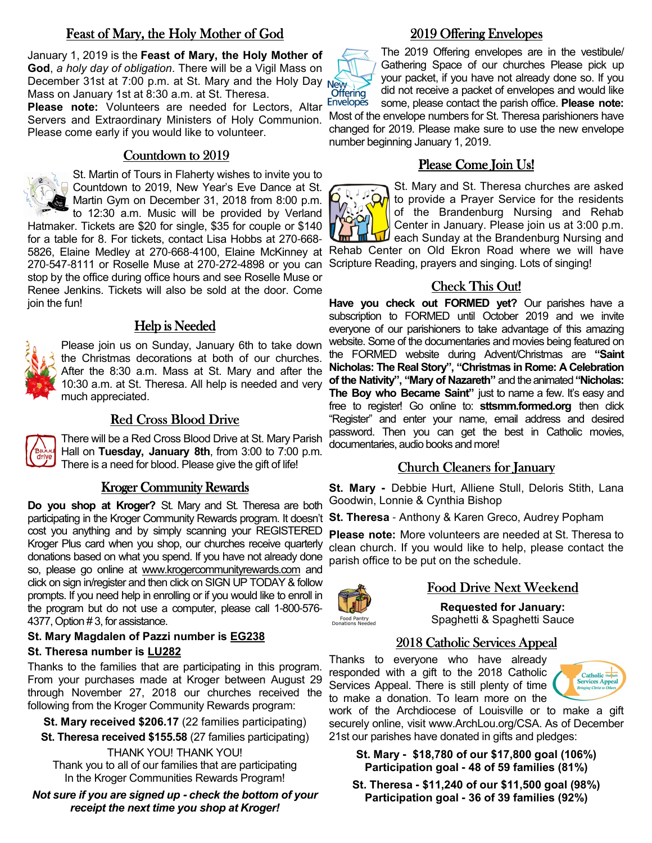## Feast of Mary, the Holy Mother of God

January 1, 2019 is the **Feast of Mary, the Holy Mother of God**, *a holy day of obligation*. There will be a Vigil Mass on December 31st at 7:00 p.m. at St. Mary and the Holy Day Mass on January 1st at 8:30 a.m. at St. Theresa.

**Please note:** Volunteers are needed for Lectors, Altar Servers and Extraordinary Ministers of Holy Communion. Please come early if you would like to volunteer.

### Countdown to 2019



St. Martin of Tours in Flaherty wishes to invite you to Countdown to 2019, New Year's Eve Dance at St. Martin Gym on December 31, 2018 from 8:00 p.m.

to 12:30 a.m. Music will be provided by Verland Hatmaker. Tickets are \$20 for single, \$35 for couple or \$140 for a table for 8. For tickets, contact Lisa Hobbs at 270-668- 5826, Elaine Medley at 270-668-4100, Elaine McKinney at 270-547-8111 or Roselle Muse at 270-272-4898 or you can stop by the office during office hours and see Roselle Muse or Renee Jenkins. Tickets will also be sold at the door. Come join the fun!

### Help is Needed

Please join us on Sunday, January 6th to take down the Christmas decorations at both of our churches. After the 8:30 a.m. Mass at St. Mary and after the 10:30 a.m. at St. Theresa. All help is needed and very much appreciated.

#### Red Cross Blood Drive

There will be a Red Cross Blood Drive at St. Mary Parish Hall on **Tuesday, January 8th**, from 3:00 to 7:00 p.m. There is a need for blood. Please give the gift of life!

#### Kroger Community Rewards

**Do you shop at Kroger?** St. Mary and St. Theresa are both participating in the Kroger Community Rewards program. It doesn't **St. Theresa** - Anthony & Karen Greco, Audrey Popham cost you anything and by simply scanning your REGISTERED Kroger Plus card when you shop, our churches receive quarterly donations based on what you spend. If you have not already done so, please go online at www.krogercommunityrewards.com and click on sign in/register and then click on SIGN UP TODAY & follow prompts. If you need help in enrolling or if you would like to enroll in the program but do not use a computer, please call 1-800-576- 4377, Option # 3, for assistance.

#### **St. Mary Magdalen of Pazzi number is EG238**

#### **St. Theresa number is LU282**

Thanks to the families that are participating in this program. From your purchases made at Kroger between August 29 through November 27, 2018 our churches received the following from the Kroger Community Rewards program:

**St. Mary received \$206.17** (22 families participating)

**St. Theresa received \$155.58** (27 families participating)

THANK YOU! THANK YOU! Thank you to all of our families that are participating In the Kroger Communities Rewards Program!

*Not sure if you are signed up* **-** *check the bottom of your receipt the next time you shop at Kroger!* 

### 2019 Offering Envelopes 2019 Offering Envelopes



The 2019 Offering envelopes are in the vestibule/ Gathering Space of our churches Please pick up your packet, if you have not already done so. If you did not receive a packet of envelopes and would like some, please contact the parish office. **Please note:** 

Most of the envelope numbers for St. Theresa parishioners have changed for 2019. Please make sure to use the new envelope number beginning January 1, 2019.

## Please Come Ioin Us!



St. Mary and St. Theresa churches are asked to provide a Prayer Service for the residents of the Brandenburg Nursing and Rehab Center in January. Please join us at 3:00 p.m. each Sunday at the Brandenburg Nursing and

Rehab Center on Old Ekron Road where we will have Scripture Reading, prayers and singing. Lots of singing!

## Check This Out!

**Have you check out FORMED yet?** Our parishes have a subscription to FORMED until October 2019 and we invite everyone of our parishioners to take advantage of this amazing website. Some of the documentaries and movies being featured on the FORMED website during Advent/Christmas are **"Saint Nicholas: The Real Story", "Christmas in Rome: A Celebration of the Nativity", "Mary of Nazareth"** and the animated **"Nicholas: The Boy who Became Saint"** just to name a few. It's easy and free to register! Go online to: **sttsmm.formed.org** then click "Register" and enter your name, email address and desired password. Then you can get the best in Catholic movies, documentaries, audio books and more!

### Church Cleaners for January

**St. Mary -** Debbie Hurt, Alliene Stull, Deloris Stith, Lana Goodwin, Lonnie & Cynthia Bishop

**Please note:** More volunteers are needed at St. Theresa to clean church. If you would like to help, please contact the parish office to be put on the schedule.



### Food Drive Next Weekend

**Requested for January:** Spaghetti & Spaghetti Sauce

### 2018 Catholic Services Appeal

Thanks to everyone who have already responded with a gift to the 2018 Catholic Services Appeal. There is still plenty of time to make a donation. To learn more on the

work of the Archdiocese of Louisville or to make a gift securely online, visit www.ArchLou.org/CSA. As of December 21st our parishes have donated in gifts and pledges:

**St. Mary - \$18,780 of our \$17,800 goal (106%) Participation goal - 48 of 59 families (81%)** 

**St. Theresa - \$11,240 of our \$11,500 goal (98%) Participation goal - 36 of 39 families (92%)**